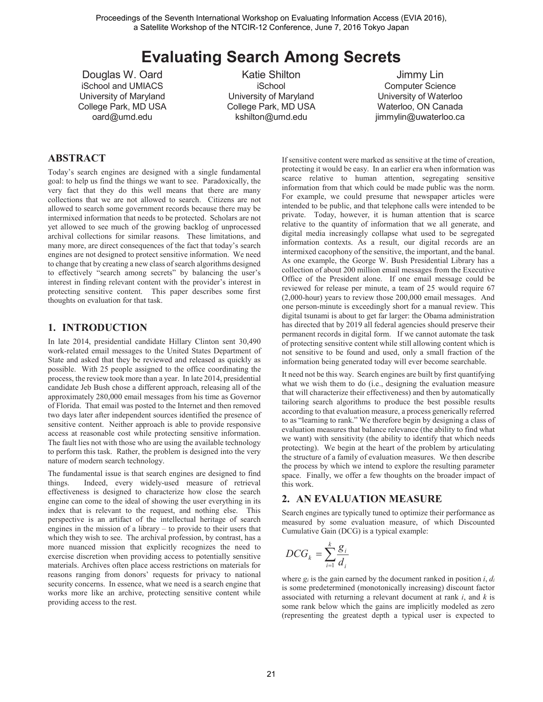# **Evaluating Search Among Secrets**

Douglas W. Oard iSchool and UMIACS University of Maryland College Park, MD USA oard@umd.edu

Katie Shilton iSchool University of Maryland College Park, MD USA kshilton@umd.edu

Jimmy Lin Computer Science University of Waterloo Waterloo, ON Canada jimmylin@uwaterloo.ca

# **ABSTRACT**

Today's search engines are designed with a single fundamental goal: to help us find the things we want to see. Paradoxically, the very fact that they do this well means that there are many collections that we are not allowed to search. Citizens are not allowed to search some government records because there may be intermixed information that needs to be protected. Scholars are not yet allowed to see much of the growing backlog of unprocessed archival collections for similar reasons. These limitations, and many more, are direct consequences of the fact that today's search engines are not designed to protect sensitive information. We need to change that by creating a new class of search algorithms designed to effectively "search among secrets" by balancing the user's interest in finding relevant content with the provider's interest in protecting sensitive content. This paper describes some first thoughts on evaluation for that task.

# **1. INTRODUCTION**

In late 2014, presidential candidate Hillary Clinton sent 30,490 work-related email messages to the United States Department of State and asked that they be reviewed and released as quickly as possible. With 25 people assigned to the office coordinating the process, the review took more than a year. In late 2014, presidential candidate Jeb Bush chose a different approach, releasing all of the approximately 280,000 email messages from his time as Governor of Florida. That email was posted to the Internet and then removed two days later after independent sources identified the presence of sensitive content. Neither approach is able to provide responsive access at reasonable cost while protecting sensitive information. The fault lies not with those who are using the available technology to perform this task. Rather, the problem is designed into the very nature of modern search technology.

The fundamental issue is that search engines are designed to find things. Indeed, every widely-used measure of retrieval effectiveness is designed to characterize how close the search engine can come to the ideal of showing the user everything in its index that is relevant to the request, and nothing else. This perspective is an artifact of the intellectual heritage of search engines in the mission of a library – to provide to their users that which they wish to see. The archival profession, by contrast, has a more nuanced mission that explicitly recognizes the need to exercise discretion when providing access to potentially sensitive materials. Archives often place access restrictions on materials for reasons ranging from donors' requests for privacy to national security concerns. In essence, what we need is a search engine that works more like an archive, protecting sensitive content while providing access to the rest.

If sensitive content were marked as sensitive at the time of creation, protecting it would be easy. In an earlier era when information was scarce relative to human attention, segregating sensitive information from that which could be made public was the norm. For example, we could presume that newspaper articles were intended to be public, and that telephone calls were intended to be private. Today, however, it is human attention that is scarce relative to the quantity of information that we all generate, and digital media increasingly collapse what used to be segregated information contexts. As a result, our digital records are an intermixed cacophony of the sensitive, the important, and the banal. As one example, the George W. Bush Presidential Library has a collection of about 200 million email messages from the Executive Office of the President alone. If one email message could be reviewed for release per minute, a team of 25 would require 67 (2,000-hour) years to review those 200,000 email messages. And one person-minute is exceedingly short for a manual review. This digital tsunami is about to get far larger: the Obama administration has directed that by 2019 all federal agencies should preserve their permanent records in digital form. If we cannot automate the task of protecting sensitive content while still allowing content which is not sensitive to be found and used, only a small fraction of the information being generated today will ever become searchable.

It need not be this way. Search engines are built by first quantifying what we wish them to do (i.e., designing the evaluation measure that will characterize their effectiveness) and then by automatically tailoring search algorithms to produce the best possible results according to that evaluation measure, a process generically referred to as "learning to rank." We therefore begin by designing a class of evaluation measures that balance relevance (the ability to find what we want) with sensitivity (the ability to identify that which needs protecting). We begin at the heart of the problem by articulating the structure of a family of evaluation measures. We then describe the process by which we intend to explore the resulting parameter space. Finally, we offer a few thoughts on the broader impact of this work.

# **2. AN EVALUATION MEASURE**

Search engines are typically tuned to optimize their performance as measured by some evaluation measure, of which Discounted Cumulative Gain (DCG) is a typical example:

$$
DCG_k = \sum_{i=1}^k \frac{g_i}{d_i}
$$

where *gi* is the gain earned by the document ranked in position *i*, *di* is some predetermined (monotonically increasing) discount factor associated with returning a relevant document at rank *i*, and *k* is some rank below which the gains are implicitly modeled as zero (representing the greatest depth a typical user is expected to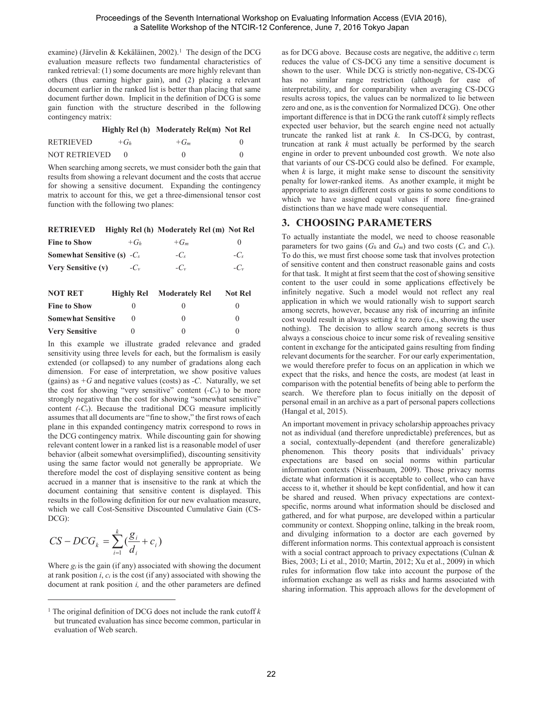examine) (Järvelin & Kekäläinen, 2002).<sup>1</sup> The design of the DCG evaluation measure reflects two fundamental characteristics of ranked retrieval: (1) some documents are more highly relevant than others (thus earning higher gain), and (2) placing a relevant document earlier in the ranked list is better than placing that same document further down. Implicit in the definition of DCG is some gain function with the structure described in the following contingency matrix:

**Highly Rel (h) Moderately Rel(m) Not Rel**

| <b>RETRIEVED</b> | $+(f_h)$ | $+(T_m$ |  |
|------------------|----------|---------|--|
| NOT RETRIEVED    |          |         |  |

When searching among secrets, we must consider both the gain that results from showing a relevant document and the costs that accrue for showing a sensitive document. Expanding the contingency matrix to account for this, we get a three-dimensional tensor cost function with the following two planes:

| <b>RETRIEVED</b>                     |            | Highly Rel (h) Moderately Rel (m) Not Rel |                |
|--------------------------------------|------------|-------------------------------------------|----------------|
| <b>Fine to Show</b>                  | $+G_h$     | $+G_m$                                    | $\theta$       |
| <b>Somewhat Sensitive (s)</b> $-C_s$ |            | $-C_{s}$                                  | $-C_s$         |
| <b>Very Sensitive (v)</b>            | $-C_v$     | $-C_{\nu}$                                | $-C_{v}$       |
| NOT RET                              | Highly Rel | <b>Moderately Rel</b>                     | <b>Not Rel</b> |
| <b>Fine to Show</b>                  | 0          | 0                                         | O              |
| <b>Somewhat Sensitive</b>            | 0          | 0                                         | $\theta$       |
| <b>Very Sensitive</b>                | 0          | 0                                         |                |

In this example we illustrate graded relevance and graded sensitivity using three levels for each, but the formalism is easily extended (or collapsed) to any number of gradations along each dimension. For ease of interpretation, we show positive values (gains) as *+G* and negative values (costs) as *-C*. Naturally, we set the cost for showing "very sensitive" content  $(-C_v)$  to be more strongly negative than the cost for showing "somewhat sensitive" content *(-Cs*). Because the traditional DCG measure implicitly assumes that all documents are "fine to show," the first rows of each plane in this expanded contingency matrix correspond to rows in the DCG contingency matrix. While discounting gain for showing relevant content lower in a ranked list is a reasonable model of user behavior (albeit somewhat oversimplified), discounting sensitivity using the same factor would not generally be appropriate. We therefore model the cost of displaying sensitive content as being accrued in a manner that is insensitive to the rank at which the document containing that sensitive content is displayed. This results in the following definition for our new evaluation measure, which we call Cost-Sensitive Discounted Cumulative Gain (CS-DCG):

$$
CS - DCG_k = \sum_{i=1}^k \left(\frac{g_i}{d_i} + c_i\right)
$$

Where *gi* is the gain (if any) associated with showing the document at rank position *i*, *ci* is the cost (if any) associated with showing the document at rank position *i,* and the other parameters are defined

as for DCG above. Because costs are negative, the additive *ci* term reduces the value of CS-DCG any time a sensitive document is shown to the user. While DCG is strictly non-negative, CS-DCG has no similar range restriction (although for ease of interpretability, and for comparability when averaging CS-DCG results across topics, the values can be normalized to lie between zero and one, as is the convention for Normalized DCG). One other important difference is that in DCG the rank cutoff *k* simply reflects expected user behavior, but the search engine need not actually truncate the ranked list at rank *k*. In CS-DCG, by contrast, truncation at rank *k* must actually be performed by the search engine in order to prevent unbounded cost growth. We note also that variants of our CS-DCG could also be defined. For example, when  $k$  is large, it might make sense to discount the sensitivity penalty for lower-ranked items. As another example, it might be appropriate to assign different costs or gains to some conditions to which we have assigned equal values if more fine-grained distinctions than we have made were consequential.

# **3. CHOOSING PARAMETERS**

To actually instantiate the model, we need to choose reasonable parameters for two gains  $(G_h \text{ and } G_m)$  and two costs  $(C_s \text{ and } C_v)$ . To do this, we must first choose some task that involves protection of sensitive content and then construct reasonable gains and costs for that task. It might at first seem that the cost of showing sensitive content to the user could in some applications effectively be infinitely negative. Such a model would not reflect any real application in which we would rationally wish to support search among secrets, however, because any risk of incurring an infinite cost would result in always setting *k* to zero (i.e., showing the user nothing). The decision to allow search among secrets is thus always a conscious choice to incur some risk of revealing sensitive content in exchange for the anticipated gains resulting from finding relevant documents for the searcher. For our early experimentation, we would therefore prefer to focus on an application in which we expect that the risks, and hence the costs, are modest (at least in comparison with the potential benefits of being able to perform the search. We therefore plan to focus initially on the deposit of personal email in an archive as a part of personal papers collections (Hangal et al, 2015).

An important movement in privacy scholarship approaches privacy not as individual (and therefore unpredictable) preferences, but as a social, contextually-dependent (and therefore generalizable) phenomenon*.* This theory posits that individuals' privacy expectations are based on social norms within particular information contexts (Nissenbaum, 2009). Those privacy norms dictate what information it is acceptable to collect, who can have access to it, whether it should be kept confidential, and how it can be shared and reused. When privacy expectations are contextspecific, norms around what information should be disclosed and gathered, and for what purpose, are developed within a particular community or context. Shopping online, talking in the break room, and divulging information to a doctor are each governed by different information norms. This contextual approach is consistent with a social contract approach to privacy expectations (Culnan & Bies, 2003; Li et al., 2010; Martin, 2012; Xu et al., 2009) in which rules for information flow take into account the purpose of the information exchange as well as risks and harms associated with sharing information. This approach allows for the development of

<sup>&</sup>lt;sup>1</sup> The original definition of DCG does not include the rank cutoff  $k$ but truncated evaluation has since become common, particular in evaluation of Web search.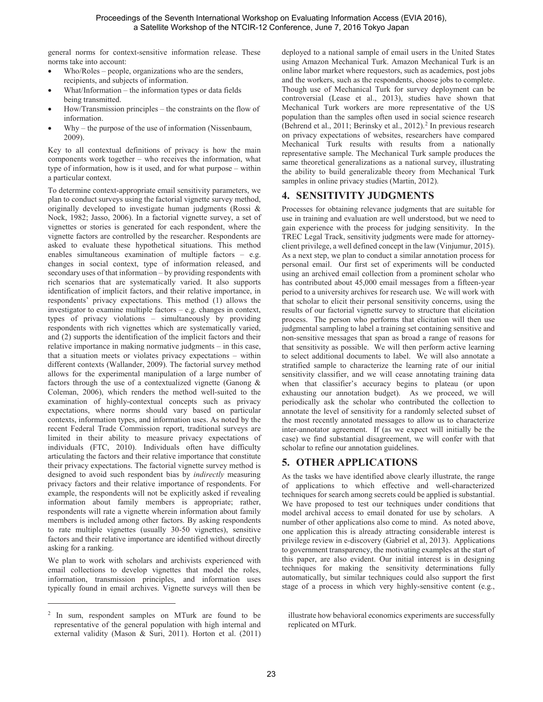general norms for context-sensitive information release. These norms take into account:

- x Who/Roles people, organizations who are the senders, recipients, and subjects of information.
- x What/Information the information types or data fields being transmitted.
- How/Transmission principles the constraints on the flow of information.
- x Why the purpose of the use of information (Nissenbaum, 2009).

Key to all contextual definitions of privacy is how the main components work together – who receives the information, what type of information, how is it used, and for what purpose – within a particular context.

To determine context-appropriate email sensitivity parameters, we plan to conduct surveys using the factorial vignette survey method, originally developed to investigate human judgments (Rossi & Nock, 1982; Jasso, 2006). In a factorial vignette survey, a set of vignettes or stories is generated for each respondent, where the vignette factors are controlled by the researcher. Respondents are asked to evaluate these hypothetical situations. This method enables simultaneous examination of multiple factors – e.g. changes in social context, type of information released, and secondary uses of that information – by providing respondents with rich scenarios that are systematically varied. It also supports identification of implicit factors, and their relative importance, in respondents' privacy expectations. This method (1) allows the investigator to examine multiple factors – e.g. changes in context, types of privacy violations – simultaneously by providing respondents with rich vignettes which are systematically varied, and (2) supports the identification of the implicit factors and their relative importance in making normative judgments – in this case, that a situation meets or violates privacy expectations – within different contexts (Wallander, 2009). The factorial survey method allows for the experimental manipulation of a large number of factors through the use of a contextualized vignette (Ganong & Coleman, 2006), which renders the method well-suited to the examination of highly-contextual concepts such as privacy expectations, where norms should vary based on particular contexts, information types, and information uses. As noted by the recent Federal Trade Commission report, traditional surveys are limited in their ability to measure privacy expectations of individuals (FTC, 2010). Individuals often have difficulty articulating the factors and their relative importance that constitute their privacy expectations. The factorial vignette survey method is designed to avoid such respondent bias by *indirectly* measuring privacy factors and their relative importance of respondents. For example, the respondents will not be explicitly asked if revealing information about family members is appropriate; rather, respondents will rate a vignette wherein information about family members is included among other factors. By asking respondents to rate multiple vignettes (usually 30-50 vignettes), sensitive factors and their relative importance are identified without directly asking for a ranking.

We plan to work with scholars and archivists experienced with email collections to develop vignettes that model the roles, information, transmission principles, and information uses typically found in email archives. Vignette surveys will then be deployed to a national sample of email users in the United States using Amazon Mechanical Turk. Amazon Mechanical Turk is an online labor market where requestors, such as academics, post jobs and the workers, such as the respondents, choose jobs to complete. Though use of Mechanical Turk for survey deployment can be controversial (Lease et al., 2013), studies have shown that Mechanical Turk workers are more representative of the US population than the samples often used in social science research (Behrend et al., 2011; Berinsky et al., 2012).<sup>2</sup> In previous research on privacy expectations of websites, researchers have compared Mechanical Turk results with results from a nationally representative sample. The Mechanical Turk sample produces the same theoretical generalizations as a national survey, illustrating the ability to build generalizable theory from Mechanical Turk samples in online privacy studies (Martin, 2012).

# **4. SENSITIVITY JUDGMENTS**

Processes for obtaining relevance judgments that are suitable for use in training and evaluation are well understood, but we need to gain experience with the process for judging sensitivity. In the TREC Legal Track, sensitivity judgments were made for attorneyclient privilege, a well defined concept in the law (Vinjumur, 2015). As a next step, we plan to conduct a similar annotation process for personal email. Our first set of experiments will be conducted using an archived email collection from a prominent scholar who has contributed about 45,000 email messages from a fifteen-year period to a university archives for research use. We will work with that scholar to elicit their personal sensitivity concerns, using the results of our factorial vignette survey to structure that elicitation process. The person who performs that elicitation will then use judgmental sampling to label a training set containing sensitive and non-sensitive messages that span as broad a range of reasons for that sensitivity as possible. We will then perform active learning to select additional documents to label. We will also annotate a stratified sample to characterize the learning rate of our initial sensitivity classifier, and we will cease annotating training data when that classifier's accuracy begins to plateau (or upon exhausting our annotation budget). As we proceed, we will periodically ask the scholar who contributed the collection to annotate the level of sensitivity for a randomly selected subset of the most recently annotated messages to allow us to characterize inter-annotator agreement. If (as we expect will initially be the case) we find substantial disagreement, we will confer with that scholar to refine our annotation guidelines.

# **5. OTHER APPLICATIONS**

As the tasks we have identified above clearly illustrate, the range of applications to which effective and well-characterized techniques for search among secrets could be applied is substantial. We have proposed to test our techniques under conditions that model archival access to email donated for use by scholars. A number of other applications also come to mind. As noted above, one application this is already attracting considerable interest is privilege review in e-discovery (Gabriel et al, 2013). Applications to government transparency, the motivating examples at the start of this paper, are also evident. Our initial interest is in designing techniques for making the sensitivity determinations fully automatically, but similar techniques could also support the first stage of a process in which very highly-sensitive content (e.g.,

<sup>2</sup> In sum, respondent samples on MTurk are found to be representative of the general population with high internal and external validity (Mason & Suri, 2011). Horton et al. (2011)

illustrate how behavioral economics experiments are successfully replicated on MTurk.